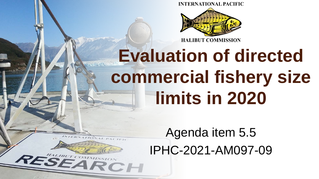**INTERNATIONAL PACIFIC** 



# **Evaluation of directed commercial fishery size limits in 2020**

Agenda item 5.5 IPHC-2021-AM097-09

**SEARCH**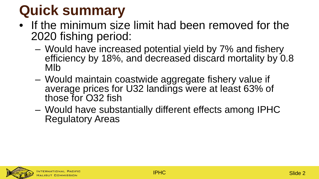## **Quick summary**

- If the minimum size limit had been removed for the 2020 fishing period:
	- Would have increased potential yield by 7% and fishery efficiency by 18%, and decreased discard mortality by 0.8 Mlb
	- Would maintain coastwide aggregate fishery value if average prices for U32 landings were at least 63% of those for O32 fish
	- Would have substantially different effects among IPHC Regulatory Areas

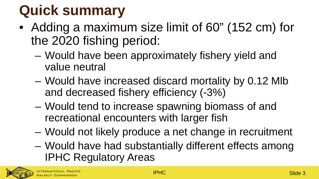## **Quick summary**

- Adding a maximum size limit of 60" (152 cm) for the 2020 fishing period:
	- Would have been approximately fishery yield and value neutral
	- Would have increased discard mortality by 0.12 Mlb and decreased fishery efficiency (-3%)
	- Would tend to increase spawning biomass of and recreational encounters with larger fish
	- Would not likely produce a net change in recruitment
	- Would have had substantially different effects among IPHC Regulatory Areas

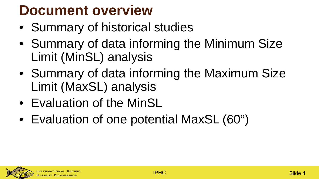## **Document overview**

- Summary of historical studies
- Summary of data informing the Minimum Size Limit (MinSL) analysis
- Summary of data informing the Maximum Size Limit (MaxSL) analysis
- Evaluation of the MinSL
- Evaluation of one potential MaxSL (60")

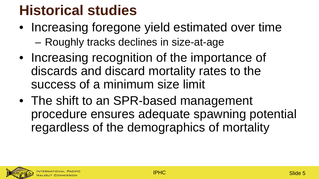### **Historical studies**

- Increasing foregone yield estimated over time – Roughly tracks declines in size-at-age
- Increasing recognition of the importance of discards and discard mortality rates to the success of a minimum size limit
- The shift to an SPR-based management procedure ensures adequate spawning potential regardless of the demographics of mortality

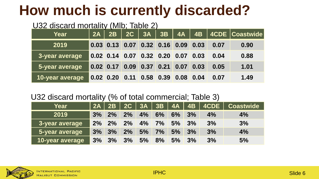### **How much is currently discarded?**

#### U32 discard mortality (Mlb; Table 2)

| <b>Year</b>     | 2A |  |                                      |  |      | $\begin{array}{ c c c c c c c c c }\hline 2\textsf{B} & \textsf{2}\textsf{C} & \textsf{3}\textsf{A} & \textsf{3}\textsf{B} & \textsf{4}\textsf{A} & \textsf{4}\textsf{B} & \textsf{4}\textsf{CDE} & \textsf{Coastwide} \hline \end{array}$ |
|-----------------|----|--|--------------------------------------|--|------|--------------------------------------------------------------------------------------------------------------------------------------------------------------------------------------------------------------------------------------------|
| 2019            |    |  | $0.03$ 0.13 0.07 0.32 0.16 0.09 0.03 |  | 0.07 | 0.90                                                                                                                                                                                                                                       |
| 3-year average  |    |  | 0.02 0.14 0.07 0.32 0.20 0.07 0.03   |  | 0.04 | 0.88                                                                                                                                                                                                                                       |
| 5-year average  |    |  |                                      |  | 0.05 | 1.01                                                                                                                                                                                                                                       |
| 10-year average |    |  | 0.02 0.20 0.11 0.58 0.39 0.08 0.04   |  | 0.07 | 1.49                                                                                                                                                                                                                                       |

#### U32 discard mortality (% of total commercial; Table 3)

| Year            |       |                  |       |                   |  |    | 2A   2B   2C   3A   3B   4A   4B   4CDE   Coastwide |
|-----------------|-------|------------------|-------|-------------------|--|----|-----------------------------------------------------|
| 2019            |       | $3\%$ 2%         | $2\%$ | 4% 6% 6% 3%       |  | 4% | 4%                                                  |
| 3-year average  | $2\%$ | $\frac{2\%}{\ }$ | $2\%$ | 4% 7% 5% 3%       |  | 3% | 3%                                                  |
| 5-year average  | 3%    |                  |       | 3% 2% 5% 7% 5% 3% |  | 3% | 4%                                                  |
| 10-year average | 3%    | 3%               | 3%    | 5% 8% 5% 3%       |  | 3% | 5%                                                  |

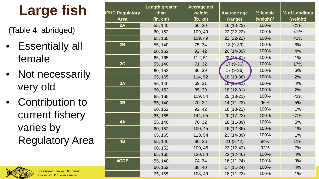## **Large fish**

(Table 4; abridged)

- Essentially all female
- Not necessarily very old
- Contribution to current fishery varies by Regulatory Area



**HALIBUT COMMISSION** 

| <b>IPHC Regulatory</b> | <b>Length greater</b><br>than | <b>Average net</b><br>weight | <b>Average age</b> | % female              | % of Landings |
|------------------------|-------------------------------|------------------------------|--------------------|-----------------------|---------------|
| Area                   | (in, cm)                      | (lb, kg)                     | (range)            | (weight) <sup>1</sup> | (weight)      |
| 2A                     | 55, 140                       | 66, 30                       | 16 (10-23)         | 100%                  | 1%            |
|                        | 60, 152                       | 109, 49                      | 22 (22-22)         | 100%                  | $< 1\%$       |
|                        | 65, 165                       | 109, 49                      | 22 (22-22)         | 100%                  | 1%            |
| 2B                     | 55, 140                       | 75, 34                       | 18 (9-39)          | 100%                  | 8%            |
|                        | 60, 152                       | 92, 42                       | 20 (14-39)         | 100%                  | 4%            |
|                        | 65, 165                       | 112, 51                      | $22/15-31$         | 100%                  | 1%            |
| 2C                     | 55, 140                       | 71, 32                       | 17 (9-36)          | 100%                  | 17%           |
|                        | 60, 152                       | 86, 39                       | $17(9-36)$         | 100%                  | 6%            |
|                        | 65, 165                       | 114, 52                      | $18(13-36)$        | 100%                  | 2%            |
| 3A                     | 55, 140                       | 69, 31                       | 16(151)            | 100%                  | 4%            |
|                        | 60, 152                       | 85, 39                       | 18 (12-31)         | 100%                  | 2%            |
|                        | 65, 165                       | 119, 54                      | 20 (18-21)         | 100%                  | $< 1\%$       |
| 3B                     | 55, 140                       | 70, 32                       | 14 (11-23)         | 96%                   | 5%            |
|                        | 60, 152                       | 92, 42                       | 16 (13-23)         | 100%                  | 1%            |
|                        | 65, 165                       | 144, 65                      | 20 (17-23)         | 100%                  | $< 1\%$       |
| 4A                     | 55, 140                       | 70, 32                       | 18 (11-39)         | 100%                  | 5%            |
|                        | 60, 152                       | 100, 45                      | 19 (12-39)         | 100%                  | 1%            |
|                        | 65, 165                       | 118, 54                      | 23 (14-39)         | 100%                  | 1%            |
| 4B                     | 55, 140                       | 80, 36                       | $21(8-42)$         | 94%                   | 11%           |
|                        | 60, 152                       | 100, 45                      | $23(12-42)$        | 92%                   | 7%            |
|                        | 65, 165                       | 120, 54                      | 23 (12-40)         | 100%                  | 4%            |
| 4CDE                   | 55, 140                       | 74, 34                       | 16 (11-24)         | 100%                  | 9%            |
|                        | 60, 152                       | 88, 40                       | $17(11-24)$        | 100%                  | 4%            |
|                        | 65, 165                       | 108, 49                      | 18 (11-22)         | 100%                  | 1%            |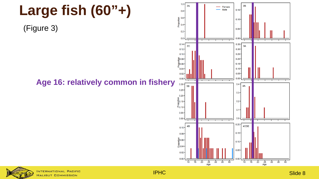

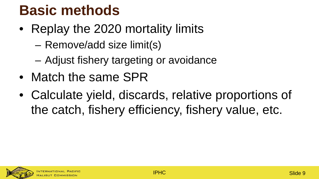### **Basic methods**

- Replay the 2020 mortality limits
	- Remove/add size limit(s)
	- Adjust fishery targeting or avoidance
- Match the same SPR
- Calculate yield, discards, relative proportions of the catch, fishery efficiency, fishery value, etc.

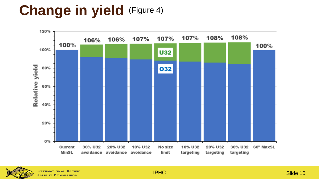## **Change in yield** (Figure 4)



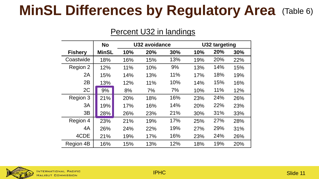### **MinSL Differences by Regulatory Area** (Table 6)

#### Percent U32 in landings

|                | <b>No</b>    |     | U32 avoidance |     |     | U32 targeting |     |  |  |
|----------------|--------------|-----|---------------|-----|-----|---------------|-----|--|--|
| <b>Fishery</b> | <b>MinSL</b> | 10% | 20%           | 30% | 10% | 20%           | 30% |  |  |
| Coastwide      | 18%          | 16% | 15%           | 13% | 19% | 20%           | 22% |  |  |
| Region 2       | 12%          | 11% | 10%           | 9%  | 13% | 14%           | 15% |  |  |
| 2A             | 15%          | 14% | 13%           | 11% | 17% | 18%           | 19% |  |  |
| 2B             | 13%          | 12% | 11%           | 10% | 14% | 15%           | 16% |  |  |
| 2C             | 9%           | 8%  | 7%            | 7%  | 10% | 11%           | 12% |  |  |
| Region 3       | 21%          | 20% | 18%           | 16% | 23% | 24%           | 26% |  |  |
| 3A             | 19%          | 17% | 16%           | 14% | 20% | 22%           | 23% |  |  |
| 3B             | 28%          | 26% | 23%           | 21% | 30% | 31%           | 33% |  |  |
| Region 4       | 23%          | 21% | 19%           | 17% | 25% | 27%           | 28% |  |  |
| 4A             | 26%          | 24% | 22%           | 19% | 27% | 29%           | 31% |  |  |
| 4CDE           | 21%          | 19% | 17%           | 16% | 23% | 24%           | 26% |  |  |
| Region 4B      | 16%          | 15% | 13%           | 12% | 18% | 19%           | 20% |  |  |

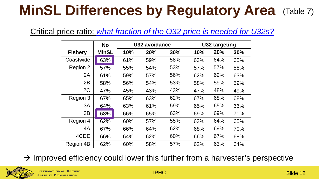## **MinSL Differences by Regulatory Area** (Table 7)

#### Critical price ratio: *what fraction of the O32 price is needed for U32s?*

|                | <b>No</b>    |     | U32 avoidance |     |     | U32 targeting |     |  |  |  |
|----------------|--------------|-----|---------------|-----|-----|---------------|-----|--|--|--|
| <b>Fishery</b> | <b>MinSL</b> | 10% | 20%           | 30% | 10% | 20%           | 30% |  |  |  |
| Coastwide      | 63%          | 61% | 59%           | 58% | 63% | 64%           | 65% |  |  |  |
| Region 2       | 57%          | 55% | 54%           | 53% | 57% | 57%           | 58% |  |  |  |
| 2A             | 61%          | 59% | 57%           | 56% | 62% | 62%           | 63% |  |  |  |
| 2B             | 58%          | 56% | 54%           | 53% | 58% | 59%           | 59% |  |  |  |
| 2C             | 47%          | 45% | 43%           | 43% | 47% | 48%           | 49% |  |  |  |
| Region 3       | 67%          | 65% | 63%           | 62% | 67% | 68%           | 68% |  |  |  |
| 3A             | 64%          | 63% | 61%           | 59% | 65% | 65%           | 66% |  |  |  |
| 3B             | 68%          | 66% | 65%           | 63% | 69% | 69%           | 70% |  |  |  |
| Region 4       | 62%          | 60% | 57%           | 55% | 63% | 64%           | 65% |  |  |  |
| 4A             | 67%          | 66% | 64%           | 62% | 68% | 69%           | 70% |  |  |  |
| 4CDE           | 66%          | 64% | 62%           | 60% | 66% | 67%           | 68% |  |  |  |
| Region 4B      | 62%          | 60% | 58%           | 57% | 62% | 63%           | 64% |  |  |  |

 $\rightarrow$  Improved efficiency could lower this further from a harvester's perspective

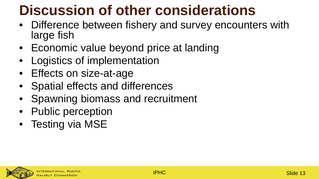## **Discussion of other considerations**

- Difference between fishery and survey encounters with large fish
- Economic value beyond price at landing
- Logistics of implementation
- Effects on size-at-age
- Spatial effects and differences
- Spawning biomass and recruitment
- Public perception
- Testing via MSE

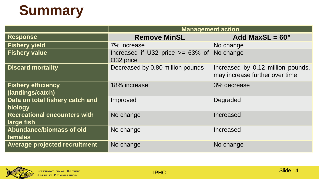## **Summary**

|                                                   | <b>Management action</b>                                   |                                                                     |
|---------------------------------------------------|------------------------------------------------------------|---------------------------------------------------------------------|
| <b>Response</b>                                   | <b>Remove MinSL</b>                                        | Add MaxSL = $60"$                                                   |
| <b>Fishery yield</b>                              | 7% increase                                                | No change                                                           |
| <b>Fishery value</b>                              | Increased if U32 price $>= 63\%$ of No change<br>O32 price |                                                                     |
| <b>Discard mortality</b>                          | Decreased by 0.80 million pounds                           | Increased by 0.12 million pounds,<br>may increase further over time |
| <b>Fishery efficiency</b><br>(landings/catch)     | 18% increase                                               | 3% decrease                                                         |
| Data on total fishery catch and<br>biology        | Improved                                                   | Degraded                                                            |
| <b>Recreational encounters with</b><br>large fish | No change                                                  | Increased                                                           |
| Abundance/biomass of old<br>females               | No change                                                  | Increased                                                           |
| <b>Average projected recruitment</b>              | No change                                                  | No change                                                           |

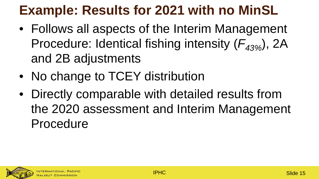### **Example: Results for 2021 with no MinSL**

- Follows all aspects of the Interim Management Procedure: Identical fishing intensity ( $F_{43\%}$ ), 2A and 2B adjustments
- No change to TCEY distribution
- Directly comparable with detailed results from the 2020 assessment and Interim Management Procedure

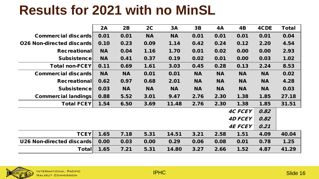#### **Results for 2021 with no MinSL**

|                                  | 2A        | 2B        | 2C        | <b>3A</b> | 3B        | 4A        | 4B             | 4CDE      | Total |
|----------------------------------|-----------|-----------|-----------|-----------|-----------|-----------|----------------|-----------|-------|
| Commercial discards              | 0.01      | 0.01      | <b>NA</b> | <b>NA</b> | 0.01      | 0.01      | 0.01           | 0.01      | 0.04  |
| <b>026 Non-directed discards</b> | 0.10      | 0.23      | 0.09      | 1.14      | 0.42      | 0.24      | 0.12           | 2.20      | 4.54  |
| <b>Recreational</b>              | <b>NA</b> | 0.04      | 1.16      | 1.70      | 0.01      | 0.02      | 0.00           | 0.00      | 2.93  |
| Subsistence                      | <b>NA</b> | 0.41      | 0.37      | 0.19      | 0.02      | 0.01      | 0.00           | 0.03      | 1.02  |
| <b>Total non-FCEY</b>            | 0.11      | 0.69      | 1.61      | 3.03      | 0.45      | 0.28      | 0.13           | 2.24      | 8.53  |
| <b>Commercial discards</b>       | <b>NA</b> | <b>NA</b> | 0.01      | 0.01      | <b>NA</b> | <b>NA</b> | <b>NA</b>      | <b>NA</b> | 0.02  |
| <b>Recreational</b>              | 0.62      | 0.97      | 0.68      | 2.01      | <b>NA</b> | <b>NA</b> | <b>NA</b>      | <b>NA</b> | 4.28  |
| <b>Subsistence</b>               | 0.03      | <b>NA</b> | <b>NA</b> | <b>NA</b> | <b>NA</b> | <b>NA</b> | <b>NA</b>      | <b>NA</b> | 0.03  |
| <b>Commercial landings</b>       | 0.88      | 5.52      | 3.01      | 9.47      | 2.76      | 2.30      | 1.38           | 1.85      | 27.18 |
| <b>Total FCEY</b>                | 1.54      | 6.50      | 3.69      | 11.48     | 2.76      | 2.30      | 1.38           | 1.85      | 31.51 |
|                                  |           |           |           |           |           |           | <b>4C FCEY</b> | 0.82      |       |
|                                  |           |           |           |           |           |           | <b>4D FCEY</b> | 0.82      |       |
|                                  |           |           |           |           |           |           | <b>4E FCEY</b> | 0.21      |       |
| <b>TCEY</b>                      | 1.65      | 7.18      | 5.31      | 14.51     | 3.21      | 2.58      | 1.51           | 4.09      | 40.04 |
| U26 Non-directed discards        | 0.00      | 0.03      | 0.00      | 0.29      | 0.06      | 0.08      | 0.01           | 0.78      | 1.25  |
| Total                            | 1.65      | 7.21      | 5.31      | 14.80     | 3.27      | 2.66      | 1.52           | 4.87      | 41.29 |

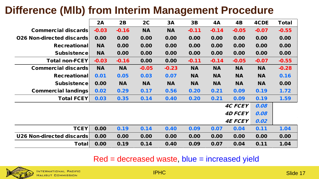#### **Difference (Mlb) from Interim Management Procedure**

|                                  | 2A        | 2B        | 2C        | 3A        | 3B        | 4A        | 4B             | 4CDE      | <b>Total</b> |
|----------------------------------|-----------|-----------|-----------|-----------|-----------|-----------|----------------|-----------|--------------|
| <b>Commercial discards</b>       | $-0.03$   | $-0.16$   | <b>NA</b> | <b>NA</b> | $-0.11$   | $-0.14$   | $-0.05$        | $-0.07$   | $-0.55$      |
| <b>026 Non-directed discards</b> | 0.00      | 0.00      | 0.00      | 0.00      | 0.00      | 0.00      | 0.00           | 0.00      | 0.00         |
| <b>Recreational</b>              | <b>NA</b> | 0.00      | 0.00      | 0.00      | 0.00      | 0.00      | 0.00           | 0.00      | 0.00         |
| <b>Subsistence</b>               | <b>NA</b> | 0.00      | 0.00      | 0.00      | 0.00      | 0.00      | 0.00           | 0.00      | 0.00         |
| <b>Total non-FCEY</b>            | $-0.03$   | $-0.16$   | 0.00      | 0.00      | $-0.11$   | $-0.14$   | $-0.05$        | $-0.07$   | $-0.55$      |
| <b>Commercial discards</b>       | <b>NA</b> | <b>NA</b> | $-0.05$   | $-0.23$   | <b>NA</b> | <b>NA</b> | <b>NA</b>      | <b>NA</b> | $-0.28$      |
| <b>Recreational</b>              | 0.01      | 0.05      | 0.03      | 0.07      | <b>NA</b> | <b>NA</b> | <b>NA</b>      | <b>NA</b> | 0.16         |
| <b>Subsistencel</b>              | 0.00      | <b>NA</b> | <b>NA</b> | <b>NA</b> | <b>NA</b> | <b>NA</b> | <b>NA</b>      | <b>NA</b> | 0.00         |
| <b>Commercial landings</b>       | 0.02      | 0.29      | 0.17      | 0.56      | 0.20      | 0.21      | 0.09           | 0.19      | 1.72         |
| <b>Total FCEY</b>                | 0.03      | 0.35      | 0.14      | 0.40      | 0.20      | 0.21      | 0.09           | 0.19      | 1.59         |
|                                  |           |           |           |           |           |           | <b>4C FCEY</b> | 0.08      |              |
|                                  |           |           |           |           |           |           | <b>4D FCEY</b> | 0.08      |              |
|                                  |           |           |           |           |           |           | <b>4E FCEY</b> | 0.02      |              |
| <b>TCEY</b>                      | 0.00      | 0.19      | 0.14      | 0.40      | 0.09      | 0.07      | 0.04           | 0.11      | 1.04         |
| U26 Non-directed discards        | 0.00      | 0.00      | 0.00      | 0.00      | 0.00      | 0.00      | 0.00           | 0.00      | 0.00         |
| <b>Total</b>                     | 0.00      | 0.19      | 0.14      | 0.40      | 0.09      | 0.07      | 0.04           | 0.11      | 1.04         |

#### Red = decreased waste, blue = increased yield

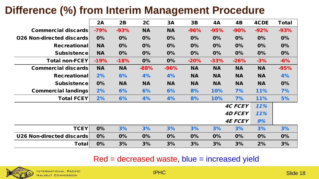#### **Difference (%) from Interim Management Procedure**

|                                  | 2A        | 2B        | 2C        | 3A        | 3B        | 4A        | 4B             | 4CDE      | <b>Total</b> |
|----------------------------------|-----------|-----------|-----------|-----------|-----------|-----------|----------------|-----------|--------------|
| Commercial discards              | $-79%$    | $-93%$    | <b>NA</b> | <b>NA</b> | $-96%$    | $-95%$    | $-90%$         | $-92%$    | $-93%$       |
| <b>026 Non-directed discards</b> | 0%        | 0%        | 0%        | 0%        | 0%        | 0%        | 0%             | 0%        | 0%           |
| <b>Recreational</b>              | <b>NA</b> | 0%        | 0%        | 0%        | 0%        | 0%        | 0%             | 0%        | 0%           |
| <b>Subsistencel</b>              | <b>NA</b> | 0%        | 0%        | 0%        | 0%        | 0%        | 0%             | 0%        | 0%           |
| <b>Total non-FCEY</b>            | $-19%$    | $-18%$    | 0%        | 0%        | $-20%$    | $-33%$    | $-26%$         | $-3%$     | $-6%$        |
| <b>Commercial discards</b>       | <b>NA</b> | <b>NA</b> | $-88%$    | $-96%$    | <b>NA</b> | <b>NA</b> | <b>NA</b>      | <b>NA</b> | $-95%$       |
| <b>Recreational</b>              | 2%        | 6%        | 4%        | 4%        | <b>NA</b> | <b>NA</b> | <b>NA</b>      | <b>NA</b> | 4%           |
| <b>Subsistencel</b>              | 0%        | <b>NA</b> | <b>NA</b> | <b>NA</b> | <b>NA</b> | <b>NA</b> | <b>NA</b>      | <b>NA</b> | 0%           |
| <b>Commercial landings</b>       | 2%        | 6%        | 6%        | 6%        | 8%        | 10%       | 7%             | 11%       | 7%           |
| <b>Total FCEY</b>                | 2%        | 6%        | 4%        | 4%        | 8%        | 10%       | 7%             | 11%       | 5%           |
|                                  |           |           |           |           |           |           | <b>4C FCEY</b> | 11%       |              |
|                                  |           |           |           |           |           |           | <b>4D FCEY</b> | 11%       |              |
|                                  |           |           |           |           |           |           | <b>4E FCEY</b> | 9%        |              |
| <b>TCEY</b>                      | 0%        | 3%        | 3%        | 3%        | 3%        | 3%        | 3%             | 3%        | 3%           |
| U26 Non-directed discards        | 0%        | 0%        | 0%        | 0%        | 0%        | 0%        | 0%             | 0%        | 0%           |
| <b>Total</b>                     | 0%        | 3%        | 3%        | 3%        | 3%        | 3%        | 3%             | 2%        | 3%           |

#### Red = decreased waste, blue = increased yield



IPHC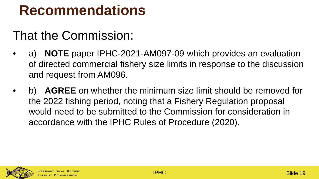#### **Recommendations**

#### That the Commission:

- a) **NOTE** paper IPHC-2021-AM097-09 which provides an evaluation of directed commercial fishery size limits in response to the discussion and request from AM096.
- AGREE on whether the minimum size limit should be removed for the 2022 fishing period, noting that a Fishery Regulation proposal would need to be submitted to the Commission for consideration in accordance with the IPHC Rules of Procedure (2020).

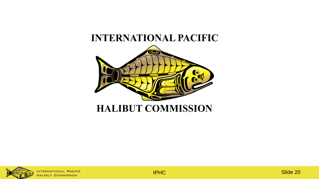#### **INTERNATIONAL PACIFIC**





NTERNATIONAL PACIFIC HALIBUT COMMISSION